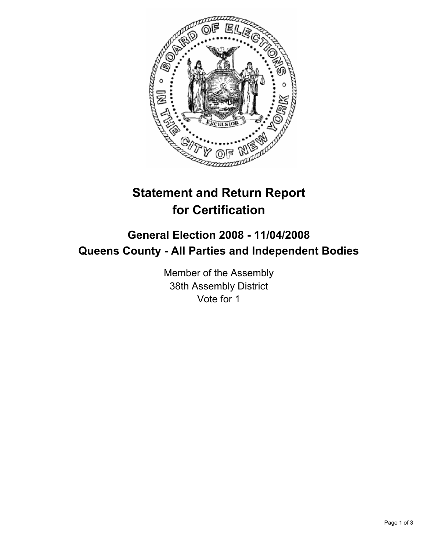

## **Statement and Return Report for Certification**

## **General Election 2008 - 11/04/2008 Queens County - All Parties and Independent Bodies**

Member of the Assembly 38th Assembly District Vote for 1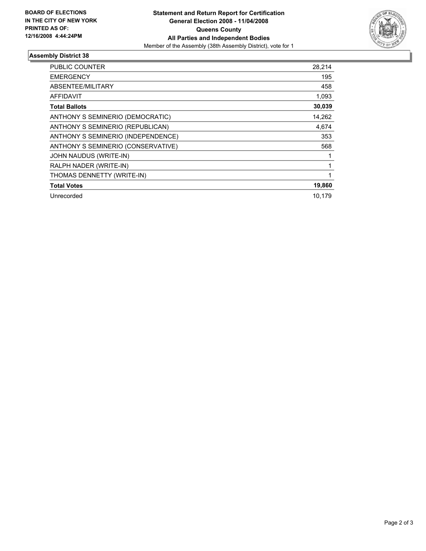

## **Assembly District 38**

| PUBLIC COUNTER                     | 28,214 |
|------------------------------------|--------|
| <b>EMERGENCY</b>                   | 195    |
| ABSENTEE/MILITARY                  | 458    |
| <b>AFFIDAVIT</b>                   | 1,093  |
| <b>Total Ballots</b>               | 30,039 |
| ANTHONY S SEMINERIO (DEMOCRATIC)   | 14,262 |
| ANTHONY S SEMINERIO (REPUBLICAN)   | 4,674  |
| ANTHONY S SEMINERIO (INDEPENDENCE) | 353    |
| ANTHONY S SEMINERIO (CONSERVATIVE) | 568    |
| JOHN NAUDUS (WRITE-IN)             |        |
| RALPH NADER (WRITE-IN)             |        |
| THOMAS DENNETTY (WRITE-IN)         |        |
| <b>Total Votes</b>                 | 19,860 |
| Unrecorded                         | 10,179 |